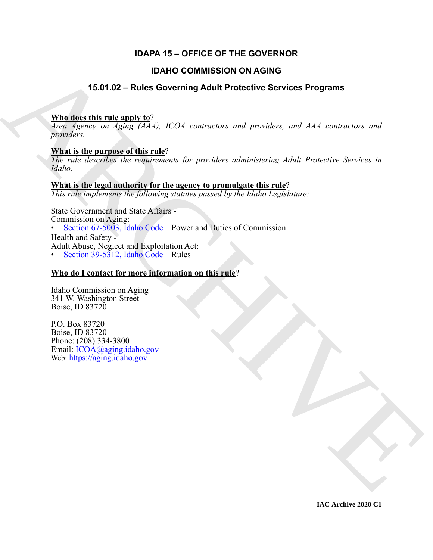# **IDAPA 15 – OFFICE OF THE GOVERNOR**

# **IDAHO COMMISSION ON AGING**

# **15.01.02 – Rules Governing Adult Protective Services Programs**

# **Who does this rule apply to**?

*Area Agency on Aging (AAA), ICOA contractors and providers, and AAA contractors and providers.*

# **What is the purpose of this rule**?

*The rule describes the requirements for providers administering Adult Protective Services in Idaho.*

# **What is the legal authority for the agency to promulgate this rule**?

*This rule implements the following statutes passed by the Idaho Legislature:*

**IDANO COMMISSION ON AGING**<br>
15.01.02 – Rules Governing Adult Protective Services Programs<br>  $\frac{\text{VInd}}{\text{area}} \frac{\text{de}}{\text{de}} \frac{\text{Area}}{\text{de}} \times \text{trace} \times \text{sin} \times \text{deg} \times (\text{Id}^2)$ , *ICOA convention, and providers, and AAA convention and p* State Government and State Affairs - Commission on Aging: • Section 67-5003, Idaho Code – Power and Duties of Commission Health and Safety - Adult Abuse, Neglect and Exploitation Act: • Section 39-5312, Idaho Code – Rules

# **Who do I contact for more information on this rule**?

Idaho Commission on Aging 341 W. Washington Street Boise, ID 83720

P.O. Box 83720 Boise, ID 83720 Phone: (208) 334-3800 Email: ICOA@aging.idaho.gov Web: https://aging.idaho.gov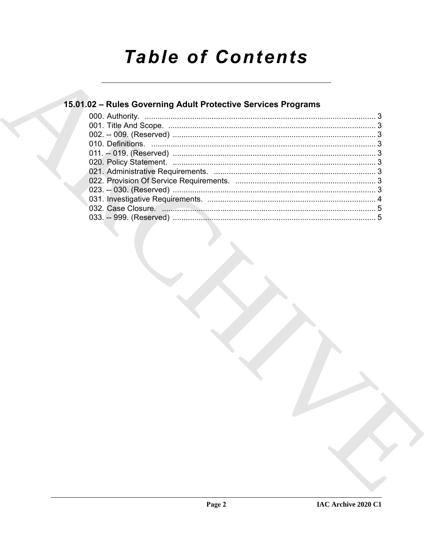# **Table of Contents**

# 15.01.02 - Rules Governing Adult Protective Services Programs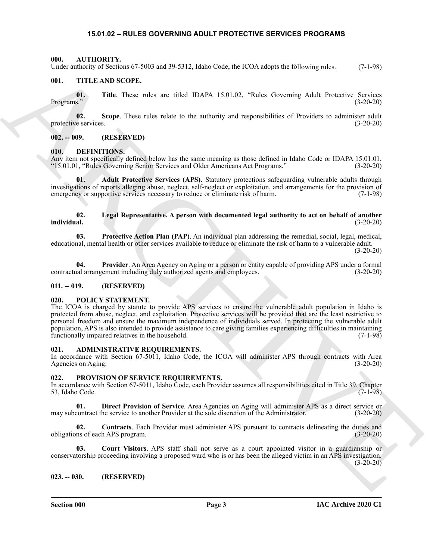#### <span id="page-2-11"></span>**15.01.02 – RULES GOVERNING ADULT PROTECTIVE SERVICES PROGRAMS**

#### <span id="page-2-1"></span><span id="page-2-0"></span>**000. AUTHORITY.**

Under authority of Sections 67-5003 and 39-5312, Idaho Code, the ICOA adopts the following rules. (7-1-98)

#### <span id="page-2-22"></span><span id="page-2-2"></span>**001. TITLE AND SCOPE.**

**01. Title**. These rules are titled IDAPA 15.01.02, "Rules Governing Adult Protective Services Programs." (3-20-20)

**02.** Scope. These rules relate to the authority and responsibilities of Providers to administer adult e services. (3-20-20) protective services.

#### <span id="page-2-3"></span>**002. -- 009. (RESERVED)**

#### <span id="page-2-13"></span><span id="page-2-4"></span>**010. DEFINITIONS.**

Any item not specifically defined below has the same meaning as those defined in Idaho Code or IDAPA 15.01.01, "15.01.01, "Rules Governing Senior Services and Older Americans Act Programs." (3-20-20)

<span id="page-2-14"></span>**01. Adult Protective Services (APS)**. Statutory protections safeguarding vulnerable adults through investigations of reports alleging abuse, neglect, self-neglect or exploitation, and arrangements for the provision of emergency or supportive services necessary to reduce or eliminate risk of harm. (7-1-98) emergency or supportive services necessary to reduce or eliminate risk of harm.

#### <span id="page-2-15"></span>**02. Legal Representative. A person with documented legal authority to act on behalf of another individual.** (3-20-20)

<span id="page-2-16"></span>**03. Protective Action Plan (PAP)**. An individual plan addressing the remedial, social, legal, medical, educational, mental health or other services available to reduce or eliminate the risk of harm to a vulnerable adult.  $(3-20-20)$ 

<span id="page-2-12"></span>**04. Provider**. An Area Agency on Aging or a person or entity capable of providing APS under a formal contractual arrangement including duly authorized agents and employees. (3-20-20)

#### <span id="page-2-5"></span>**011. -- 019. (RESERVED)**

#### <span id="page-2-17"></span><span id="page-2-6"></span>**020. POLICY STATEMENT.**

Using collective vs. Sources of 500 min 39-5312, looks Cock, the KOA subpretise interesting radio. (7-1-3%)<br>
(0). THE AND SCOPE.<br>
(1). Note These are sends that Branch is a subsequently facilitate Protection (8-2023)<br>
mat The ICOA is charged by statute to provide APS services to ensure the vulnerable adult population in Idaho is protected from abuse, neglect, and exploitation. Protective services will be provided that are the least restrictive to personal freedom and ensure the maximum independence of individuals served. In protecting the vulnerable adult population, APS is also intended to provide assistance to care giving families experiencing difficulties in maintaining functionally impaired relatives in the household. (7-1-98)

#### <span id="page-2-10"></span><span id="page-2-7"></span>**021. ADMINISTRATIVE REQUIREMENTS.**

In accordance with Section 67-5011, Idaho Code, the ICOA will administer APS through contracts with Area Agencies on Aging. (3-20-20) Agencies on Aging.

#### <span id="page-2-18"></span><span id="page-2-8"></span>**022. PROVISION OF SERVICE REQUIREMENTS.**

In accordance with Section 67-5011, Idaho Code, each Provider assumes all responsibilities cited in Title 39, Chapter  $53,$  Idaho Code. (7-1-98)

<span id="page-2-21"></span>**01. Direct Provision of Service**. Area Agencies on Aging will administer APS as a direct service or may subcontract the service to another Provider at the sole discretion of the Administrator. (3-20-20)

<span id="page-2-19"></span>**02. Contracts**. Each Provider must administer APS pursuant to contracts delineating the duties and obligations of each APS program. (3-20-20)

<span id="page-2-20"></span>**03. Court Visitors**. APS staff shall not serve as a court appointed visitor in a guardianship or conservatorship proceeding involving a proposed ward who is or has been the alleged victim in an APS investigation.  $(3-20-20)$ 

#### <span id="page-2-9"></span>**023. -- 030. (RESERVED)**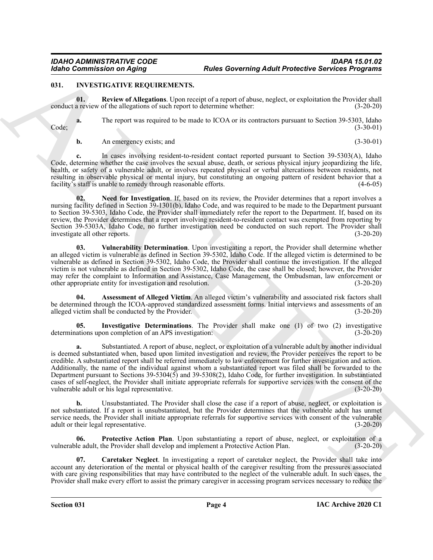#### <span id="page-3-1"></span><span id="page-3-0"></span>**031. INVESTIGATIVE REQUIREMENTS.**

<span id="page-3-7"></span>**01. Review of Allegations**. Upon receipt of a report of abuse, neglect, or exploitation the Provider shall conduct a review of the allegations of such report to determine whether: (3-20-20)

**a.** The report was required to be made to ICOA or its contractors pursuant to Section 39-5303, Idaho (3-30-01) Code; (3-30-01)

**b.** An emergency exists; and (3-30-01)

**c.** In cases involving resident-to-resident contact reported pursuant to Section 39-5303(A), Idaho Code, determine whether the case involves the sexual abuse, death, or serious physical injury jeopardizing the life, health, or safety of a vulnerable adult, or involves repeated physical or verbal altercations between residents, not resulting in observable physical or mental injury, but constituting an ongoing pattern of resident behavior that a facility's staff is unable to remedy through reasonable efforts. (4-6-05)

<span id="page-3-5"></span>**02. Need for Investigation**. If, based on its review, the Provider determines that a report involves a nursing facility defined in Section 39-1301(b), Idaho Code, and was required to be made to the Department pursuant to Section 39-5303, Idaho Code, the Provider shall immediately refer the report to the Department. If, based on its review, the Provider determines that a report involving resident-to-resident contact was exempted from reporting by Section 39-5303A, Idaho Code, no further investigation need be conducted on such report. The Provider shall investigate all other reports. (3-20-20) investigate all other reports.

<span id="page-3-8"></span>**03. Vulnerability Determination**. Upon investigating a report, the Provider shall determine whether an alleged victim is vulnerable as defined in Section 39-5302, Idaho Code. If the alleged victim is determined to be vulnerable as defined in Section 39-5302, Idaho Code, the Provider shall continue the investigation. If the alleged victim is not vulnerable as defined in Section 39-5302, Idaho Code, the case shall be closed; however, the Provider may refer the complaint to Information and Assistance, Case Management, the Ombudsman, law enforcement or other appropriate entity for investigation and resolution. (3-20-20)

<span id="page-3-2"></span>Assessment of Alleged Victim. An alleged victim's vulnerability and associated risk factors shall be determined through the ICOA-approved standardized assessment forms. Initial interviews and assessments of an alleged victim shall be conducted by the Provider. (3-20-20)

<span id="page-3-4"></span>**05. Investigative Determinations**. The Provider shall make one (1) of two (2) investigative determinations upon completion of an APS investigation: (3-20-20)

For Contraction on Aging 211 **Electric Secreting Adult Protective Services Programs**<br>
ARCHIVES INTERVENTION TRANSPORT CONTRACT CONTRACT CONTRACT CONTRACT CONTRACT CONTRACT CONTRACT CONTRACT CONTRACT CONTRACT CONTRACT CONT **a.** Substantiated. A report of abuse, neglect, or exploitation of a vulnerable adult by another individual is deemed substantiated when, based upon limited investigation and review, the Provider perceives the report to be credible. A substantiated report shall be referred immediately to law enforcement for further investigation and action. Additionally, the name of the individual against whom a substantiated report was filed shall be forwarded to the Department pursuant to Sections 39-5304(5) and 39-5308(2), Idaho Code, for further investigation. In substantiated cases of self-neglect, the Provider shall initiate appropriate referrals for supportive services with the consent of the vulnerable adult or his legal representative.

**b.** Unsubstantiated. The Provider shall close the case if a report of abuse, neglect, or exploitation is not substantiated. If a report is unsubstantiated, but the Provider determines that the vulnerable adult has unmet service needs, the Provider shall initiate appropriate referrals for supportive services with consent of the vulnerable adult or their legal representative. (3-20-20)

<span id="page-3-6"></span>**06. Protective Action Plan**. Upon substantiating a report of abuse, neglect, or exploitation of a vulnerable adult, the Provider shall develop and implement a Protective Action Plan. (3-20-20)

<span id="page-3-3"></span>**07. Caretaker Neglect**. In investigating a report of caretaker neglect, the Provider shall take into account any deterioration of the mental or physical health of the caregiver resulting from the pressures associated with care giving responsibilities that may have contributed to the neglect of the vulnerable adult. In such cases, the Provider shall make every effort to assist the primary caregiver in accessing program services necessary to reduce the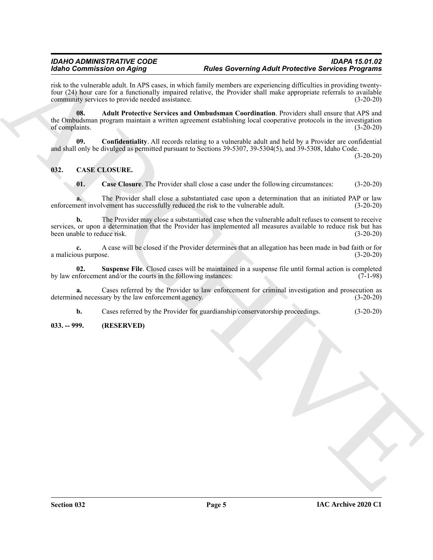#### *IDAHO ADMINISTRATIVE CODE IDAPA 15.01.02 Idaho Commission on Aging Rules Governing Adult Protective Services Programs*

<span id="page-4-5"></span>risk to the vulnerable adult. In APS cases, in which family members are experiencing difficulties in providing twentyfour (24) hour care for a functionally impaired relative, the Provider shall make appropriate referrals to available community services to provide needed assistance. (3-20-20)

Motion Continues on Agoing<br>
The Lie of the Society of the Rocker Garden Continues and Proposition is a proposition of the Continues and Continues and Continues are the Continues of the Continues and Continues of the Conti **08. Adult Protective Services and Ombudsman Coordination**. Providers shall ensure that APS and the Ombudsman program maintain a written agreement establishing local cooperative protocols in the investigation<br>(3-20-20) of complaints.

<span id="page-4-6"></span>**09. Confidentiality**. All records relating to a vulnerable adult and held by a Provider are confidential and shall only be divulged as permitted pursuant to Sections 39-5307, 39-5304(5), and 39-5308, Idaho Code.

(3-20-20)

### <span id="page-4-0"></span>**032. CASE CLOSURE.**

<span id="page-4-3"></span><span id="page-4-2"></span>**01. Case Closure**. The Provider shall close a case under the following circumstances: (3-20-20)

**a.** The Provider shall close a substantiated case upon a determination that an initiated PAP or law enforcement involvement has successfully reduced the risk to the vulnerable adult. (3-20-20)

**b.** The Provider may close a substantiated case when the vulnerable adult refuses to consent to receive services, or upon a determination that the Provider has implemented all measures available to reduce risk but has been unable to reduce risk. (3-20-20) been unable to reduce risk.

**c.** A case will be closed if the Provider determines that an allegation has been made in bad faith or for a malicious purpose. (3-20-20)

<span id="page-4-4"></span>**02.** Suspense File. Closed cases will be maintained in a suspense file until formal action is completed inforcement and/or the courts in the following instances: (7-1-98) by law enforcement and/or the courts in the following instances:

**a.** Cases referred by the Provider to law enforcement for criminal investigation and prosecution as determined necessary by the law enforcement agency. (3-20-20) (3-20-20)

**b.** Cases referred by the Provider for guardianship/conservatorship proceedings. (3-20-20)

#### <span id="page-4-1"></span>**033. -- 999. (RESERVED)**